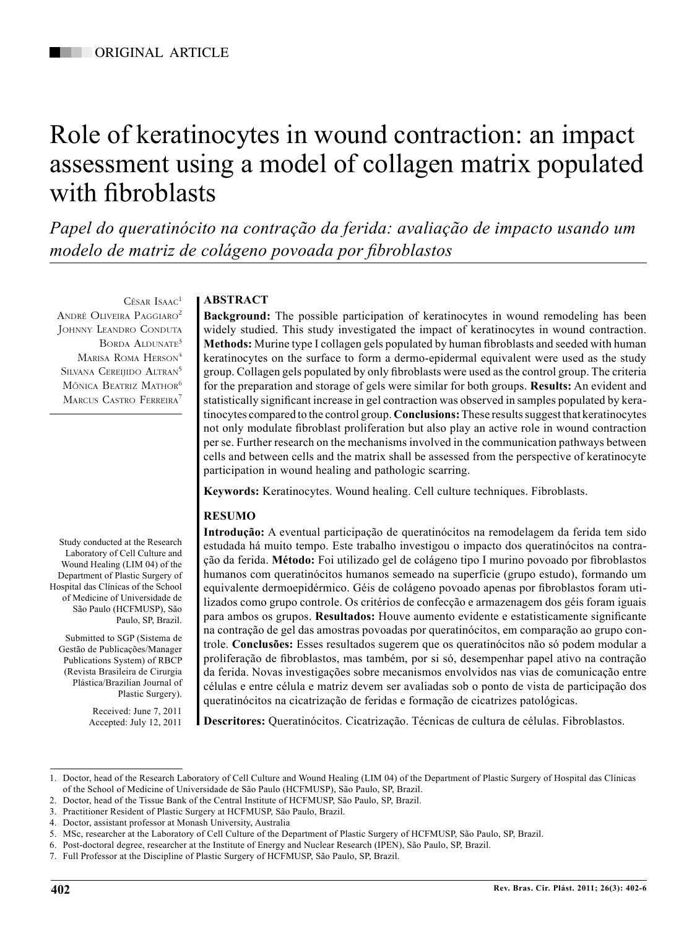# Role of keratinocytes in wound contraction: an impact assessment using a model of collagen matrix populated with fibroblasts

*Papel do queratinócito na contração da ferida: avaliação de impacto usando um modelo de matriz de colágeno povoada por fibroblastos*

César Isaac<sup>1</sup> André Oliveira Paggiaro2 Johnny Leandro Conduta BORDA ALDUNATE<sup>3</sup> MARISA ROMA HERSON<sup>4</sup> SILVANA CEREIIIDO ALTRAN<sup>5</sup> Mônica Beatriz Mathor<sup>6</sup> MARCUS CASTRO FERREIRA<sup>7</sup>

Study conducted at the Research Laboratory of Cell Culture and Wound Healing (LIM 04) of the Department of Plastic Surgery of Hospital das Clínicas of the School of Medicine of Universidade de São Paulo (HCFMUSP), São

Submitted to SGP (Sistema de Gestão de Publicações/Manager Publications System) of RBCP (Revista Brasileira de Cirurgia Plástica/Brazilian Journal of

Paulo, SP, Brazil.

Plastic Surgery). Received: June 7, 2011 Accepted: July 12, 2011

## **ABSTRACT**

**Background:** The possible participation of keratinocytes in wound remodeling has been widely studied. This study investigated the impact of keratinocytes in wound contraction. **Methods:** Murine type I collagen gels populated by human fibroblasts and seeded with human keratinocytes on the surface to form a dermo-epidermal equivalent were used as the study group. Collagen gels populated by only fibroblasts were used as the control group. The criteria for the preparation and storage of gels were similar for both groups. **Results:** An evident and statistically significant increase in gel contraction was observed in samples populated by keratinocytes compared to the control group. **Conclusions:** These results suggest that keratinocytes not only modulate fibroblast proliferation but also play an active role in wound contraction per se. Further research on the mechanisms involved in the communication pathways between cells and between cells and the matrix shall be assessed from the perspective of keratinocyte participation in wound healing and pathologic scarring.

**Keywords:** Keratinocytes. Wound healing. Cell culture techniques. Fibroblasts.

## **RESUMO**

**Introdução:** A eventual participação de queratinócitos na remodelagem da ferida tem sido estudada há muito tempo. Este trabalho investigou o impacto dos queratinócitos na contração da ferida. **Método:** Foi utilizado gel de colágeno tipo I murino povoado por fibroblastos humanos com queratinócitos humanos semeado na superfície (grupo estudo), formando um equivalente dermoepidérmico. Géis de colágeno povoado apenas por fibroblastos foram utilizados como grupo controle. Os critérios de confecção e armazenagem dos géis foram iguais para ambos os grupos. **Resultados:** Houve aumento evidente e estatisticamente significante na contração de gel das amostras povoadas por queratinócitos, em comparação ao grupo controle. **Conclusões:** Esses resultados sugerem que os queratinócitos não só podem modular a proliferação de fibroblastos, mas também, por si só, desempenhar papel ativo na contração da ferida. Novas investigações sobre mecanismos envolvidos nas vias de comunicação entre células e entre célula e matriz devem ser avaliadas sob o ponto de vista de participação dos queratinócitos na cicatrização de feridas e formação de cicatrizes patológicas.

**Descritores:** Queratinócitos. Cicatrização. Técnicas de cultura de células. Fibroblastos.

<sup>1.</sup> Doctor, head of the Research Laboratory of Cell Culture and Wound Healing (LIM 04) of the Department of Plastic Surgery of Hospital das Clínicas of the School of Medicine of Universidade de São Paulo (HCFMUSP), São Paulo, SP, Brazil.

<sup>2.</sup> Doctor, head of the Tissue Bank of the Central Institute of HCFMUSP, São Paulo, SP, Brazil.

<sup>3.</sup> Practitioner Resident of Plastic Surgery at HCFMUSP, São Paulo, Brazil.

<sup>4.</sup> Doctor, assistant professor at Monash University, Australia

<sup>5.</sup> MSc, researcher at the Laboratory of Cell Culture of the Department of Plastic Surgery of HCFMUSP, São Paulo, SP, Brazil.

<sup>6.</sup> Post-doctoral degree, researcher at the Institute of Energy and Nuclear Research (IPEN), São Paulo, SP, Brazil.

<sup>7.</sup> Full Professor at the Discipline of Plastic Surgery of HCFMUSP, São Paulo, SP, Brazil.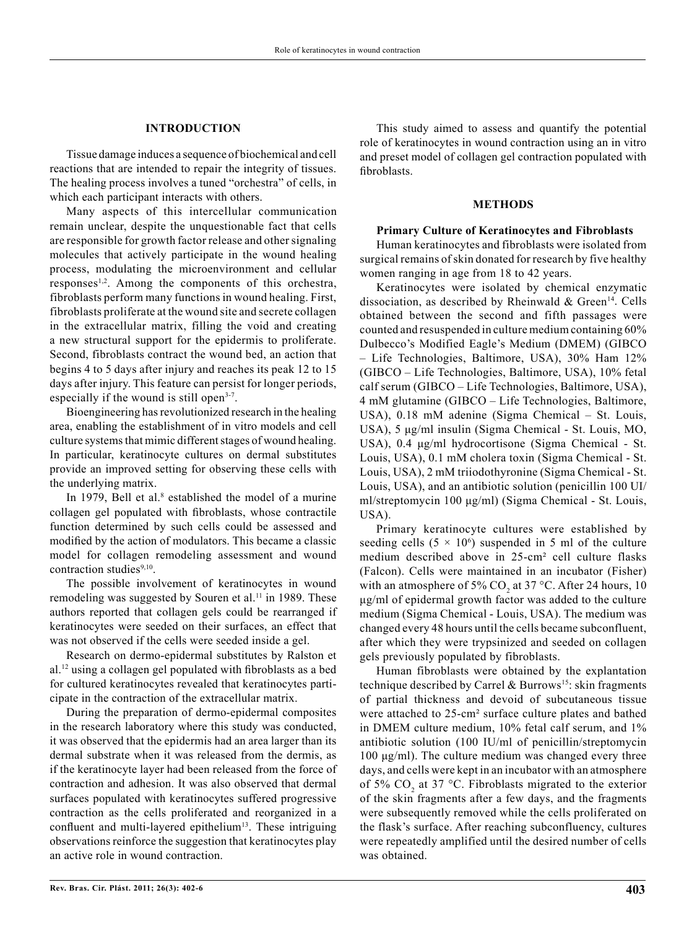#### **INTRODUCTION**

Tissue damage induces a sequence of biochemical and cell reactions that are intended to repair the integrity of tissues. The healing process involves a tuned "orchestra" of cells, in which each participant interacts with others.

Many aspects of this intercellular communication remain unclear, despite the unquestionable fact that cells are responsible for growth factor release and other signaling molecules that actively participate in the wound healing process, modulating the microenvironment and cellular responses<sup>1,2</sup>. Among the components of this orchestra, fibroblasts perform many functions in wound healing. First, fibroblasts proliferate at the wound site and secrete collagen in the extracellular matrix, filling the void and creating a new structural support for the epidermis to proliferate. Second, fibroblasts contract the wound bed, an action that begins 4 to 5 days after injury and reaches its peak 12 to 15 days after injury. This feature can persist for longer periods, especially if the wound is still open<sup>3-7</sup>.

Bioengineering has revolutionized research in the healing area, enabling the establishment of in vitro models and cell culture systems that mimic different stages of wound healing. In particular, keratinocyte cultures on dermal substitutes provide an improved setting for observing these cells with the underlying matrix.

In 1979, Bell et al. $8$  established the model of a murine collagen gel populated with fibroblasts, whose contractile function determined by such cells could be assessed and modified by the action of modulators. This became a classic model for collagen remodeling assessment and wound contraction studies $9,10$ .

The possible involvement of keratinocytes in wound remodeling was suggested by Souren et al.<sup>11</sup> in 1989. These authors reported that collagen gels could be rearranged if keratinocytes were seeded on their surfaces, an effect that was not observed if the cells were seeded inside a gel.

Research on dermo-epidermal substitutes by Ralston et al.12 using a collagen gel populated with fibroblasts as a bed for cultured keratinocytes revealed that keratinocytes participate in the contraction of the extracellular matrix.

During the preparation of dermo-epidermal composites in the research laboratory where this study was conducted, it was observed that the epidermis had an area larger than its dermal substrate when it was released from the dermis, as if the keratinocyte layer had been released from the force of contraction and adhesion. It was also observed that dermal surfaces populated with keratinocytes suffered progressive contraction as the cells proliferated and reorganized in a confluent and multi-layered epithelium<sup>13</sup>. These intriguing observations reinforce the suggestion that keratinocytes play an active role in wound contraction.

This study aimed to assess and quantify the potential role of keratinocytes in wound contraction using an in vitro and preset model of collagen gel contraction populated with fibroblasts.

#### **METHODS**

#### **Primary Culture of Keratinocytes and Fibroblasts**

Human keratinocytes and fibroblasts were isolated from surgical remains of skin donated for research by five healthy women ranging in age from 18 to 42 years.

Keratinocytes were isolated by chemical enzymatic dissociation, as described by Rheinwald & Green<sup>14</sup>. Cells obtained between the second and fifth passages were counted and resuspended in culture medium containing 60% Dulbecco's Modified Eagle's Medium (DMEM) (GIBCO – Life Technologies, Baltimore, USA), 30% Ham 12% (GIBCO – Life Technologies, Baltimore, USA), 10% fetal calf serum (GIBCO – Life Technologies, Baltimore, USA), 4 mM glutamine (GIBCO – Life Technologies, Baltimore, USA), 0.18 mM adenine (Sigma Chemical – St. Louis, USA), 5 μg/ml insulin (Sigma Chemical - St. Louis, MO, USA), 0.4 μg/ml hydrocortisone (Sigma Chemical - St. Louis, USA), 0.1 mM cholera toxin (Sigma Chemical - St. Louis, USA), 2 mM triiodothyronine (Sigma Chemical - St. Louis, USA), and an antibiotic solution (penicillin 100 UI/ ml/streptomycin 100 μg/ml) (Sigma Chemical - St. Louis, USA).

Primary keratinocyte cultures were established by seeding cells  $(5 \times 10^6)$  suspended in 5 ml of the culture medium described above in 25-cm² cell culture flasks (Falcon). Cells were maintained in an incubator (Fisher) with an atmosphere of 5%  $CO_2$  at 37 °C. After 24 hours, 10 μg/ml of epidermal growth factor was added to the culture medium (Sigma Chemical - Louis, USA). The medium was changed every 48 hours until the cells became subconfluent, after which they were trypsinized and seeded on collagen gels previously populated by fibroblasts.

Human fibroblasts were obtained by the explantation technique described by Carrel & Burrows<sup>15</sup>: skin fragments of partial thickness and devoid of subcutaneous tissue were attached to 25-cm² surface culture plates and bathed in DMEM culture medium, 10% fetal calf serum, and 1% antibiotic solution (100 IU/ml of penicillin/streptomycin 100 μg/ml). The culture medium was changed every three days, and cells were kept in an incubator with an atmosphere of 5%  $CO<sub>2</sub>$  at 37 °C. Fibroblasts migrated to the exterior of the skin fragments after a few days, and the fragments were subsequently removed while the cells proliferated on the flask's surface. After reaching subconfluency, cultures were repeatedly amplified until the desired number of cells was obtained.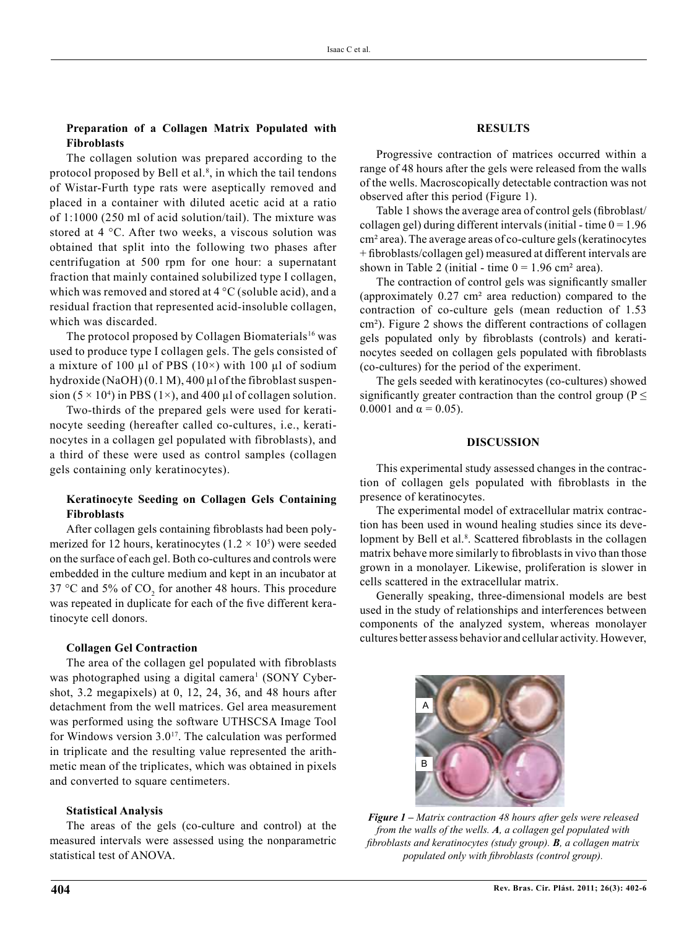#### **Preparation of a Collagen Matrix Populated with Fibroblasts**

The collagen solution was prepared according to the protocol proposed by Bell et al.<sup>8</sup>, in which the tail tendons of Wistar-Furth type rats were aseptically removed and placed in a container with diluted acetic acid at a ratio of 1:1000 (250 ml of acid solution/tail). The mixture was stored at 4 °C. After two weeks, a viscous solution was obtained that split into the following two phases after centrifugation at 500 rpm for one hour: a supernatant fraction that mainly contained solubilized type I collagen, which was removed and stored at  $4^{\circ}$ C (soluble acid), and a residual fraction that represented acid-insoluble collagen, which was discarded.

The protocol proposed by Collagen Biomaterials<sup>16</sup> was used to produce type I collagen gels. The gels consisted of a mixture of 100  $\mu$ l of PBS (10×) with 100  $\mu$ l of sodium hydroxide (NaOH) (0.1 M), 400 µl of the fibroblast suspension (5  $\times$  10<sup>4</sup>) in PBS (1 $\times$ ), and 400 µl of collagen solution.

Two-thirds of the prepared gels were used for keratinocyte seeding (hereafter called co-cultures, i.e., keratinocytes in a collagen gel populated with fibroblasts), and a third of these were used as control samples (collagen gels containing only keratinocytes).

### **Keratinocyte Seeding on Collagen Gels Containing Fibroblasts**

After collagen gels containing fibroblasts had been polymerized for 12 hours, keratinocytes  $(1.2 \times 10^5)$  were seeded on the surface of each gel. Both co-cultures and controls were embedded in the culture medium and kept in an incubator at 37 °C and 5% of  $CO_2$  for another 48 hours. This procedure was repeated in duplicate for each of the five different keratinocyte cell donors.

#### **Collagen Gel Contraction**

The area of the collagen gel populated with fibroblasts was photographed using a digital camera<sup>1</sup> (SONY Cybershot, 3.2 megapixels) at 0, 12, 24, 36, and 48 hours after detachment from the well matrices. Gel area measurement was performed using the software UTHSCSA Image Tool for Windows version  $3.0^{17}$ . The calculation was performed in triplicate and the resulting value represented the arithmetic mean of the triplicates, which was obtained in pixels and converted to square centimeters.

#### **Statistical Analysis**

The areas of the gels (co-culture and control) at the measured intervals were assessed using the nonparametric statistical test of ANOVA.

#### **RESULTS**

Progressive contraction of matrices occurred within a range of 48 hours after the gels were released from the walls of the wells. Macroscopically detectable contraction was not observed after this period (Figure 1).

Table 1 shows the average area of control gels (fibroblast/ collagen gel) during different intervals (initial - time  $0 = 1.96$ cm² area). The average areas of co-culture gels (keratinocytes + fibroblasts/collagen gel) measured at different intervals are shown in Table 2 (initial - time  $0 = 1.96$  cm<sup>2</sup> area).

The contraction of control gels was significantly smaller (approximately 0.27 cm² area reduction) compared to the contraction of co-culture gels (mean reduction of 1.53 cm²). Figure 2 shows the different contractions of collagen gels populated only by fibroblasts (controls) and keratinocytes seeded on collagen gels populated with fibroblasts (co-cultures) for the period of the experiment.

The gels seeded with keratinocytes (co-cultures) showed significantly greater contraction than the control group ( $P \leq$ 0.0001 and  $\alpha = 0.05$ ).

#### **DISCUSSION**

This experimental study assessed changes in the contraction of collagen gels populated with fibroblasts in the presence of keratinocytes.

The experimental model of extracellular matrix contraction has been used in wound healing studies since its development by Bell et al.<sup>8</sup>. Scattered fibroblasts in the collagen matrix behave more similarly to fibroblasts in vivo than those grown in a monolayer. Likewise, proliferation is slower in cells scattered in the extracellular matrix.

Generally speaking, three-dimensional models are best used in the study of relationships and interferences between components of the analyzed system, whereas monolayer cultures better assess behavior and cellular activity. However,



*Figure 1 – Matrix contraction 48 hours after gels were released from the walls of the wells. A, a collagen gel populated with fibroblasts and keratinocytes (study group). B, a collagen matrix populated only with fibroblasts (control group).*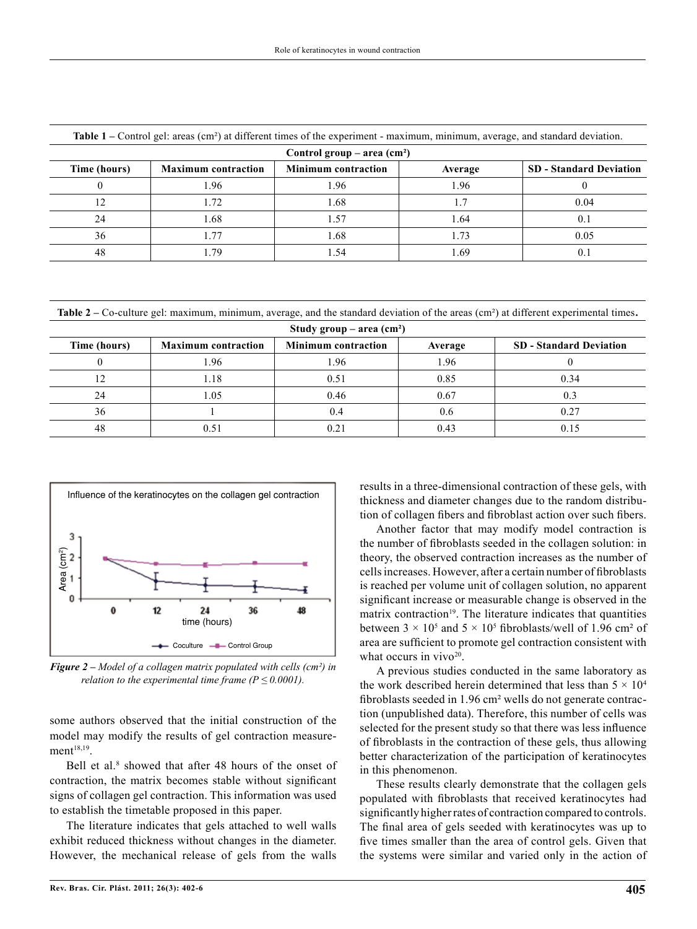| Table T – Control get, areas (Cm ) at unferent three of the experiment - maximum, minimum, average, and standard deviation. |                            |                            |         |                                |  |  |
|-----------------------------------------------------------------------------------------------------------------------------|----------------------------|----------------------------|---------|--------------------------------|--|--|
| Control group – area $(cm2)$                                                                                                |                            |                            |         |                                |  |  |
| Time (hours)                                                                                                                | <b>Maximum</b> contraction | <b>Minimum contraction</b> | Average | <b>SD</b> - Standard Deviation |  |  |
|                                                                                                                             | .96                        | .96                        | .96     |                                |  |  |
|                                                                                                                             | . . 72                     | .68                        |         | 0.04                           |  |  |
| 24                                                                                                                          | 1.68                       | 1.57                       | 1.64    |                                |  |  |
| 36                                                                                                                          | .77                        | .68                        | 1.73    | 0.05                           |  |  |
| 48                                                                                                                          | .79                        | . 54                       | .69     |                                |  |  |

**Table 1 –** Control gel: areas (cm²) at different times of the experiment - maximum, minimum, average, and standard deviation.

**Table 2 –** Co-culture gel: maximum, minimum, average, and the standard deviation of the areas (cm²) at different experimental times**.**

| Study group – area $(cm2)$ |                            |                            |         |                                |  |  |
|----------------------------|----------------------------|----------------------------|---------|--------------------------------|--|--|
| Time (hours)               | <b>Maximum contraction</b> | <b>Minimum contraction</b> | Average | <b>SD</b> - Standard Deviation |  |  |
|                            | .96                        | l.96                       | 1.96    |                                |  |  |
| 12                         | l.18                       | 0.51                       | 0.85    | 0.34                           |  |  |
| 24                         | l.05                       | 0.46                       | 0.67    |                                |  |  |
| 36                         |                            | 0.4                        | U.O     |                                |  |  |
| 48                         | 0.51                       | 0.21                       | 0.43    |                                |  |  |



*Figure 2 – Model of a collagen matrix populated with cells (cm²) in relation to the experimental time frame (* $P \le 0.0001$ *).* 

some authors observed that the initial construction of the model may modify the results of gel contraction measurement<sup>18,19</sup>.

Bell et al.<sup>8</sup> showed that after 48 hours of the onset of contraction, the matrix becomes stable without significant signs of collagen gel contraction. This information was used to establish the timetable proposed in this paper.

The literature indicates that gels attached to well walls exhibit reduced thickness without changes in the diameter. However, the mechanical release of gels from the walls results in a three-dimensional contraction of these gels, with thickness and diameter changes due to the random distribution of collagen fibers and fibroblast action over such fibers.

Another factor that may modify model contraction is the number of fibroblasts seeded in the collagen solution: in theory, the observed contraction increases as the number of cells increases. However, after a certain number of fibroblasts is reached per volume unit of collagen solution, no apparent significant increase or measurable change is observed in the matrix contraction<sup>19</sup>. The literature indicates that quantities between  $3 \times 10^5$  and  $5 \times 10^5$  fibroblasts/well of 1.96 cm<sup>2</sup> of area are sufficient to promote gel contraction consistent with what occurs in  $viyo<sup>20</sup>$ .

A previous studies conducted in the same laboratory as the work described herein determined that less than  $5 \times 10^4$ fibroblasts seeded in 1.96 cm² wells do not generate contraction (unpublished data). Therefore, this number of cells was selected for the present study so that there was less influence of fibroblasts in the contraction of these gels, thus allowing better characterization of the participation of keratinocytes in this phenomenon.

These results clearly demonstrate that the collagen gels populated with fibroblasts that received keratinocytes had significantly higher rates of contraction compared to controls. The final area of gels seeded with keratinocytes was up to five times smaller than the area of control gels. Given that the systems were similar and varied only in the action of